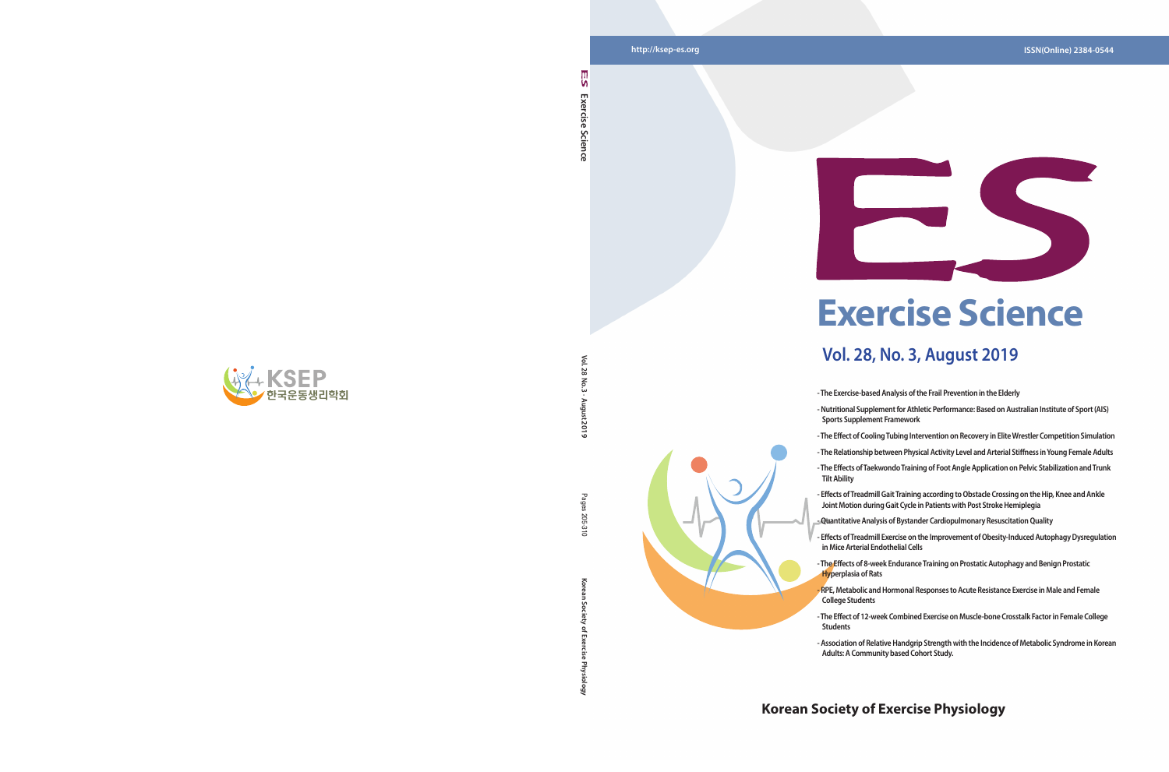

**Vol. 28 No. 3 · August 2019**

12019

Pages 205 ്ട്

 $\leq$  $\ddot{z}$  $\overline{5}$ 

**Korean Society of Exercise Physiology** Pages 205-310

ਨ

### **Korean Society of Exercise Physiology**



**Exercise Science** 

Science

Exercise

۱n

# **Exercise Science**

## **Vol. 28, No. 3, August 2019**

- **The Exercise-based Analysis of the Frail Prevention in the Elderly**
- **Nutritional Supplement for Athletic Performance: Based on Australian Institute of Sport (AIS)**
- **The Effect of Cooling Tubing Intervention on Recovery in Elite Wrestler Competition Simulation**
- **The Effects of Taekwondo Training of Foot Angle Application on Pelvic Stabilization and Trunk**
- **Sports Supplement Framework**
- 
- **The Relationship between Physical Activity Level and Arterial Stiffness in Young Female Adults**
- **Tilt Ability**
- **Effects of Treadmill Gait Training according to Obstacle Crossing on the Hip, Knee and Ankle Joint Motion during Gait Cycle in Patients with Post Stroke Hemiplegia**
- **Quantitative Analysis of Bystander Cardiopulmonary Resuscitation Quality**
- **Effects of Treadmill Exercise on the Improvement of Obesity-Induced Autophagy Dysregulation in Mice Arterial Endothelial Cells**
- **Hyperplasia of Rats**
- **RPE, Metabolic and Hormonal Responses to Acute Resistance Exercise in Male and Female College Students**
- **Students**
- **Association of Relative Handgrip Strength with the Incidence of Metabolic Syndrome in Korean Adults: A Community based Cohort Study.**

- **The Effects of 8-week Endurance Training on Prostatic Autophagy and Benign Prostatic**
- **The Effect of 12-week Combined Exercise on Muscle-bone Crosstalk Factor in Female College**